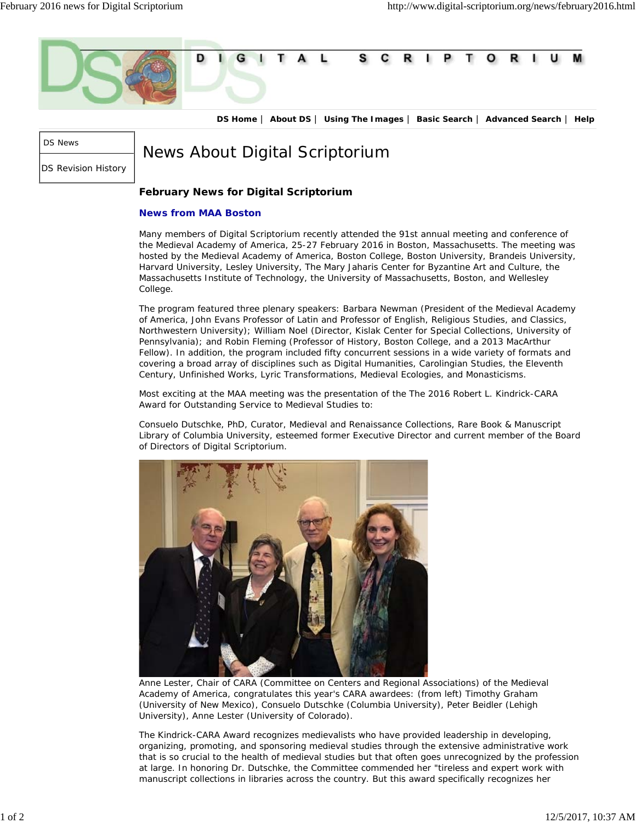

**DS Home** | **About DS** | **Using The Images** | **Basic Search** | **Advanced Search** | **Help**

DS News

DS Revision History

News About Digital Scriptorium

## **February News for Digital Scriptorium**

## **News from MAA Boston**

Many members of Digital Scriptorium recently attended the 91st annual meeting and conference of the Medieval Academy of America, 25-27 February 2016 in Boston, Massachusetts. The meeting was hosted by the Medieval Academy of America, Boston College, Boston University, Brandeis University, Harvard University, Lesley University, The Mary Jaharis Center for Byzantine Art and Culture, the Massachusetts Institute of Technology, the University of Massachusetts, Boston, and Wellesley College.

The program featured three plenary speakers: Barbara Newman (President of the Medieval Academy of America, John Evans Professor of Latin and Professor of English, Religious Studies, and Classics, Northwestern University); William Noel (Director, Kislak Center for Special Collections, University of Pennsylvania); and Robin Fleming (Professor of History, Boston College, and a 2013 MacArthur Fellow). In addition, the program included fifty concurrent sessions in a wide variety of formats and covering a broad array of disciplines such as Digital Humanities, Carolingian Studies, the Eleventh Century, Unfinished Works, Lyric Transformations, Medieval Ecologies, and Monasticisms.

Most exciting at the MAA meeting was the presentation of the The 2016 Robert L. Kindrick-CARA Award for Outstanding Service to Medieval Studies to:

Consuelo Dutschke, PhD, Curator, Medieval and Renaissance Collections, Rare Book & Manuscript Library of Columbia University, esteemed former Executive Director and current member of the Board of Directors of Digital Scriptorium.



Anne Lester, Chair of CARA (Committee on Centers and Regional Associations) of the Medieval Academy of America, congratulates this year's CARA awardees: (from left) Timothy Graham (University of New Mexico), Consuelo Dutschke (Columbia University), Peter Beidler (Lehigh University), Anne Lester (University of Colorado).

The Kindrick-CARA Award recognizes medievalists who have provided leadership in developing, organizing, promoting, and sponsoring medieval studies through the extensive administrative work that is so crucial to the health of medieval studies but that often goes unrecognized by the profession at large. In honoring Dr. Dutschke, the Committee commended her "tireless and expert work with manuscript collections in libraries across the country. But this award specifically recognizes her